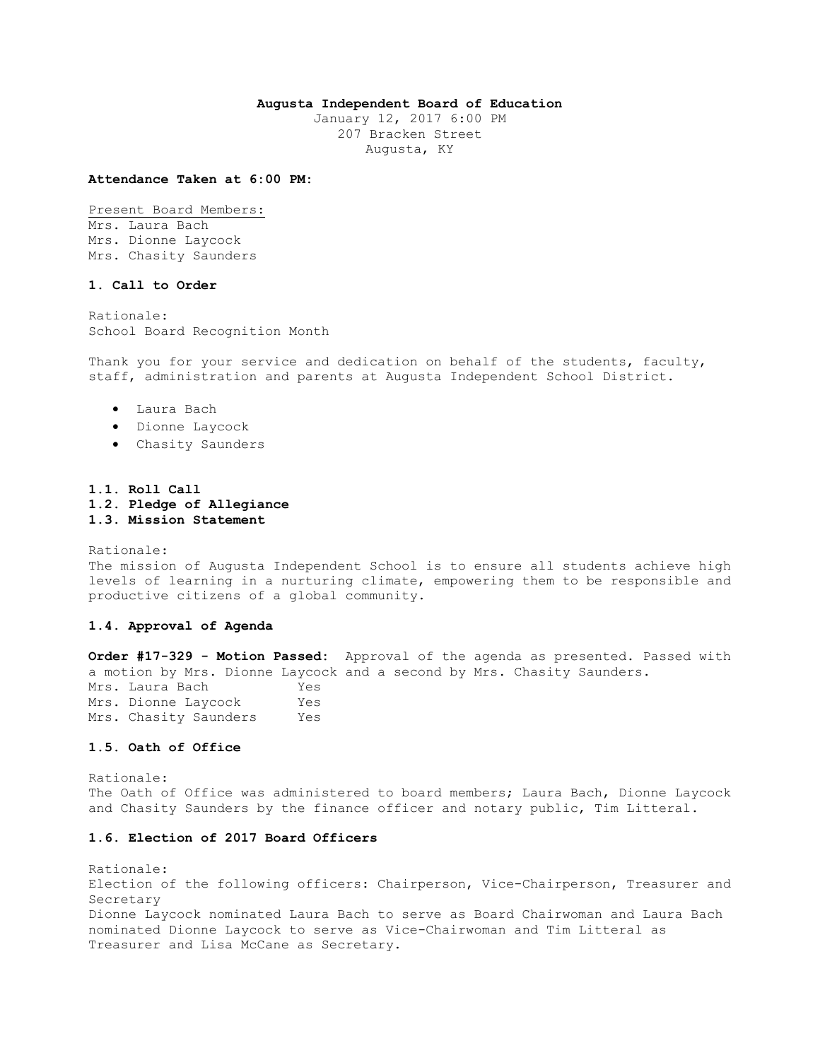## **Augusta Independent Board of Education**

January 12, 2017 6:00 PM 207 Bracken Street Augusta, KY

#### **Attendance Taken at 6:00 PM:**

Present Board Members: Mrs. Laura Bach Mrs. Dionne Laycock Mrs. Chasity Saunders

## **1. Call to Order**

Rationale: School Board Recognition Month

Thank you for your service and dedication on behalf of the students, faculty, staff, administration and parents at Augusta Independent School District.

- Laura Bach
- Dionne Laycock
- Chasity Saunders

## **1.1. Roll Call 1.2. Pledge of Allegiance 1.3. Mission Statement**

Rationale: The mission of Augusta Independent School is to ensure all students achieve high levels of learning in a nurturing climate, empowering them to be responsible and productive citizens of a global community.

# **1.4. Approval of Agenda**

**Order #17-329 - Motion Passed:** Approval of the agenda as presented. Passed with a motion by Mrs. Dionne Laycock and a second by Mrs. Chasity Saunders. Mrs. Laura Bach Yes Mrs. Dionne Laycock Yes Mrs. Chasity Saunders Yes

#### **1.5. Oath of Office**

Rationale: The Oath of Office was administered to board members; Laura Bach, Dionne Laycock and Chasity Saunders by the finance officer and notary public, Tim Litteral.

# **1.6. Election of 2017 Board Officers**

Rationale: Election of the following officers: Chairperson, Vice-Chairperson, Treasurer and Secretary Dionne Laycock nominated Laura Bach to serve as Board Chairwoman and Laura Bach nominated Dionne Laycock to serve as Vice-Chairwoman and Tim Litteral as Treasurer and Lisa McCane as Secretary.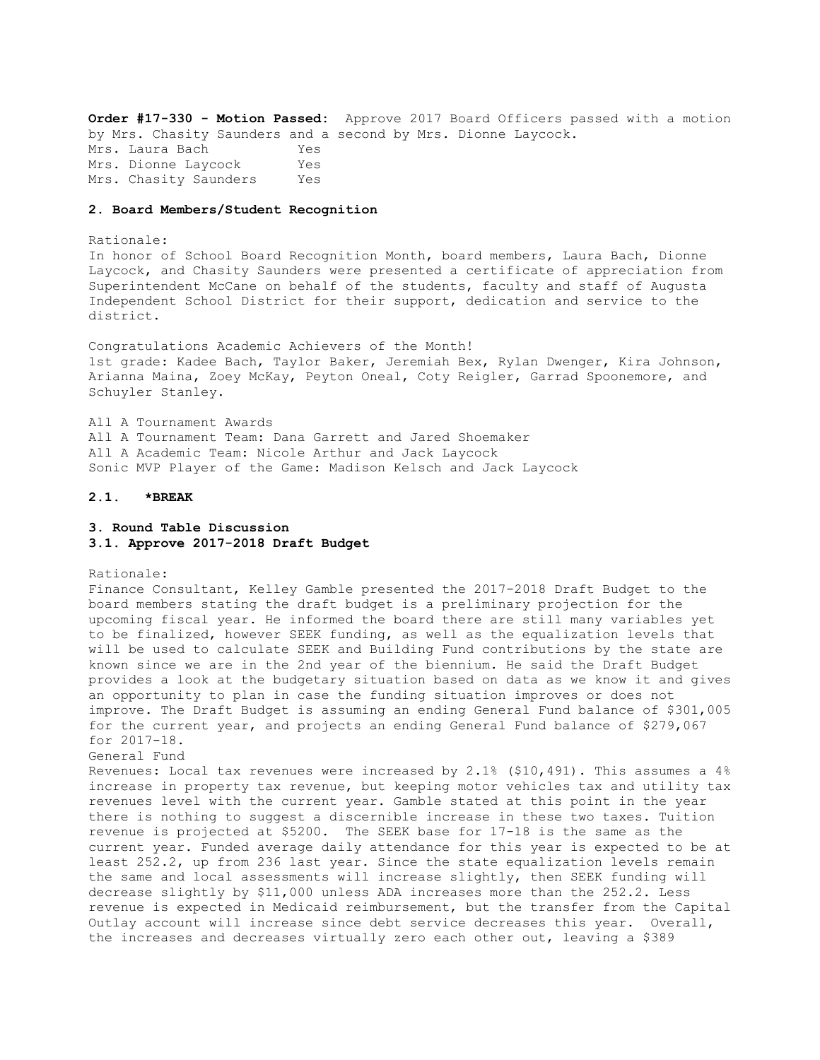**Order #17-330 - Motion Passed:** Approve 2017 Board Officers passed with a motion by Mrs. Chasity Saunders and a second by Mrs. Dionne Laycock. Mrs. Laura Bach Yes Mrs. Dionne Laycock Yes Mrs. Chasity Saunders Yes

## **2. Board Members/Student Recognition**

#### Rationale:

In honor of School Board Recognition Month, board members, Laura Bach, Dionne Laycock, and Chasity Saunders were presented a certificate of appreciation from Superintendent McCane on behalf of the students, faculty and staff of Augusta Independent School District for their support, dedication and service to the district.

Congratulations Academic Achievers of the Month! 1st grade: Kadee Bach, Taylor Baker, Jeremiah Bex, Rylan Dwenger, Kira Johnson, Arianna Maina, Zoey McKay, Peyton Oneal, Coty Reigler, Garrad Spoonemore, and Schuyler Stanley.

All A Tournament Awards All A Tournament Team: Dana Garrett and Jared Shoemaker All A Academic Team: Nicole Arthur and Jack Laycock Sonic MVP Player of the Game: Madison Kelsch and Jack Laycock

#### **2.1. \*BREAK**

## **3. Round Table Discussion 3.1. Approve 2017-2018 Draft Budget**

Rationale:

Finance Consultant, Kelley Gamble presented the 2017-2018 Draft Budget to the board members stating the draft budget is a preliminary projection for the upcoming fiscal year. He informed the board there are still many variables yet to be finalized, however SEEK funding, as well as the equalization levels that will be used to calculate SEEK and Building Fund contributions by the state are known since we are in the 2nd year of the biennium. He said the Draft Budget provides a look at the budgetary situation based on data as we know it and gives an opportunity to plan in case the funding situation improves or does not improve. The Draft Budget is assuming an ending General Fund balance of \$301,005 for the current year, and projects an ending General Fund balance of \$279,067 for 2017-18. General Fund

Revenues: Local tax revenues were increased by 2.1% (\$10,491). This assumes a 4% increase in property tax revenue, but keeping motor vehicles tax and utility tax revenues level with the current year. Gamble stated at this point in the year there is nothing to suggest a discernible increase in these two taxes. Tuition revenue is projected at \$5200. The SEEK base for 17-18 is the same as the current year. Funded average daily attendance for this year is expected to be at least 252.2, up from 236 last year. Since the state equalization levels remain the same and local assessments will increase slightly, then SEEK funding will decrease slightly by \$11,000 unless ADA increases more than the 252.2. Less revenue is expected in Medicaid reimbursement, but the transfer from the Capital Outlay account will increase since debt service decreases this year. Overall, the increases and decreases virtually zero each other out, leaving a \$389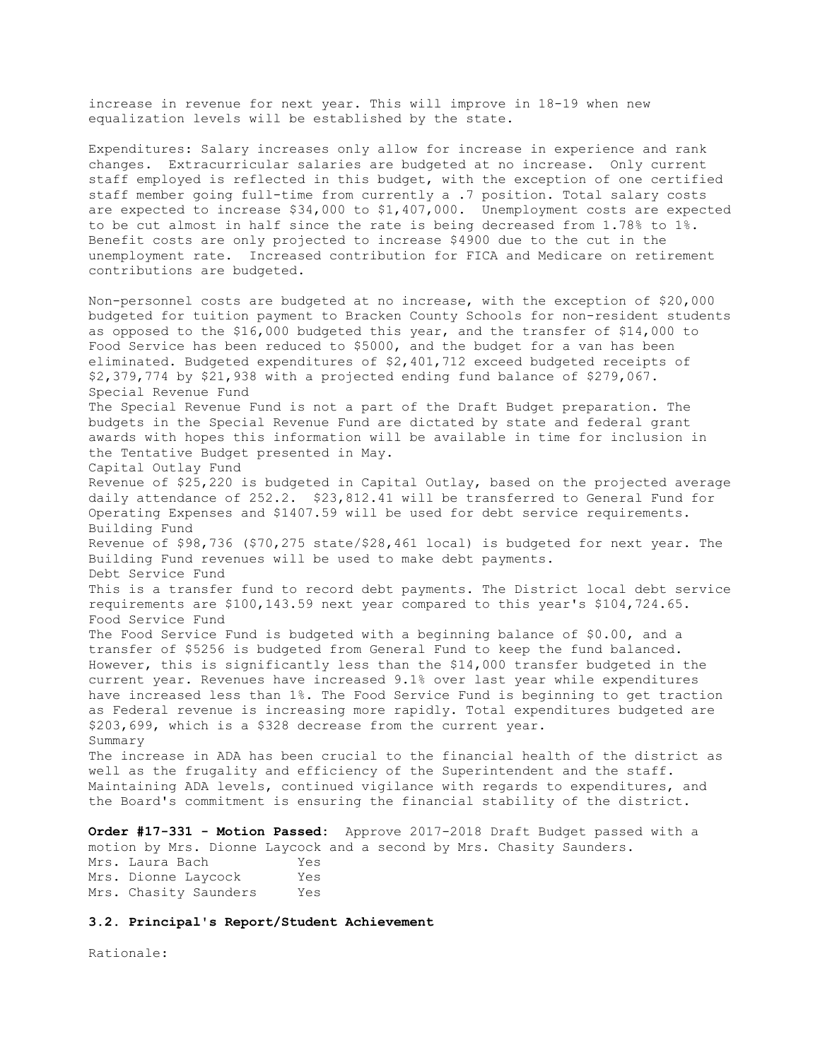increase in revenue for next year. This will improve in 18-19 when new equalization levels will be established by the state.

Expenditures: Salary increases only allow for increase in experience and rank changes. Extracurricular salaries are budgeted at no increase. Only current staff employed is reflected in this budget, with the exception of one certified staff member going full-time from currently a .7 position. Total salary costs are expected to increase \$34,000 to \$1,407,000. Unemployment costs are expected to be cut almost in half since the rate is being decreased from 1.78% to 1%. Benefit costs are only projected to increase \$4900 due to the cut in the unemployment rate. Increased contribution for FICA and Medicare on retirement contributions are budgeted.

Non-personnel costs are budgeted at no increase, with the exception of \$20,000 budgeted for tuition payment to Bracken County Schools for non-resident students as opposed to the \$16,000 budgeted this year, and the transfer of \$14,000 to Food Service has been reduced to \$5000, and the budget for a van has been eliminated. Budgeted expenditures of \$2,401,712 exceed budgeted receipts of \$2,379,774 by \$21,938 with a projected ending fund balance of \$279,067. Special Revenue Fund The Special Revenue Fund is not a part of the Draft Budget preparation. The budgets in the Special Revenue Fund are dictated by state and federal grant awards with hopes this information will be available in time for inclusion in the Tentative Budget presented in May. Capital Outlay Fund Revenue of \$25,220 is budgeted in Capital Outlay, based on the projected average daily attendance of 252.2. \$23,812.41 will be transferred to General Fund for Operating Expenses and \$1407.59 will be used for debt service requirements. Building Fund Revenue of \$98,736 (\$70,275 state/\$28,461 local) is budgeted for next year. The Building Fund revenues will be used to make debt payments. Debt Service Fund This is a transfer fund to record debt payments. The District local debt service requirements are \$100,143.59 next year compared to this year's \$104,724.65. Food Service Fund The Food Service Fund is budgeted with a beginning balance of \$0.00, and a transfer of \$5256 is budgeted from General Fund to keep the fund balanced. However, this is significantly less than the \$14,000 transfer budgeted in the current year. Revenues have increased 9.1% over last year while expenditures have increased less than 1%. The Food Service Fund is beginning to get traction as Federal revenue is increasing more rapidly. Total expenditures budgeted are \$203,699, which is a \$328 decrease from the current year. Summary The increase in ADA has been crucial to the financial health of the district as well as the frugality and efficiency of the Superintendent and the staff. Maintaining ADA levels, continued vigilance with regards to expenditures, and the Board's commitment is ensuring the financial stability of the district.

**Order #17-331 - Motion Passed:** Approve 2017-2018 Draft Budget passed with a motion by Mrs. Dionne Laycock and a second by Mrs. Chasity Saunders. Mrs. Laura Bach Yes Mrs. Dionne Laycock Yes Mrs. Chasity Saunders Yes

# **3.2. Principal's Report/Student Achievement**

Rationale: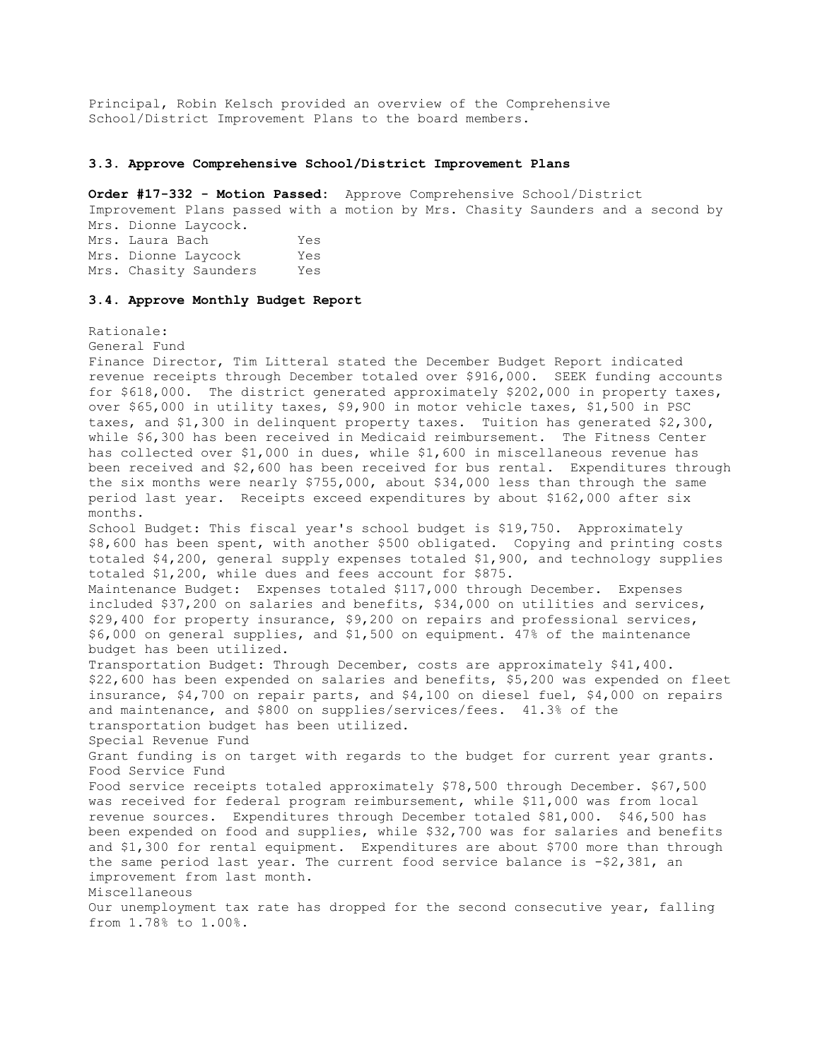Principal, Robin Kelsch provided an overview of the Comprehensive School/District Improvement Plans to the board members.

#### **3.3. Approve Comprehensive School/District Improvement Plans**

**Order #17-332 - Motion Passed:** Approve Comprehensive School/District Improvement Plans passed with a motion by Mrs. Chasity Saunders and a second by Mrs. Dionne Laycock. Mrs. Laura Bach Yes Mrs. Dionne Laycock Yes Mrs. Chasity Saunders Yes

## **3.4. Approve Monthly Budget Report**

Rationale:

General Fund

Finance Director, Tim Litteral stated the December Budget Report indicated revenue receipts through December totaled over \$916,000. SEEK funding accounts for \$618,000. The district generated approximately \$202,000 in property taxes, over \$65,000 in utility taxes, \$9,900 in motor vehicle taxes, \$1,500 in PSC taxes, and \$1,300 in delinquent property taxes. Tuition has generated \$2,300, while \$6,300 has been received in Medicaid reimbursement. The Fitness Center has collected over \$1,000 in dues, while \$1,600 in miscellaneous revenue has been received and \$2,600 has been received for bus rental. Expenditures through the six months were nearly \$755,000, about \$34,000 less than through the same period last year. Receipts exceed expenditures by about \$162,000 after six months. School Budget: This fiscal year's school budget is \$19,750. Approximately \$8,600 has been spent, with another \$500 obligated. Copying and printing costs totaled \$4,200, general supply expenses totaled \$1,900, and technology supplies totaled \$1,200, while dues and fees account for \$875. Maintenance Budget: Expenses totaled \$117,000 through December. Expenses included \$37,200 on salaries and benefits, \$34,000 on utilities and services, \$29,400 for property insurance, \$9,200 on repairs and professional services, \$6,000 on general supplies, and \$1,500 on equipment. 47% of the maintenance budget has been utilized. Transportation Budget: Through December, costs are approximately \$41,400. \$22,600 has been expended on salaries and benefits, \$5,200 was expended on fleet insurance, \$4,700 on repair parts, and \$4,100 on diesel fuel, \$4,000 on repairs and maintenance, and \$800 on supplies/services/fees. 41.3% of the transportation budget has been utilized. Special Revenue Fund Grant funding is on target with regards to the budget for current year grants. Food Service Fund Food service receipts totaled approximately \$78,500 through December. \$67,500 was received for federal program reimbursement, while \$11,000 was from local revenue sources. Expenditures through December totaled \$81,000. \$46,500 has been expended on food and supplies, while \$32,700 was for salaries and benefits and \$1,300 for rental equipment. Expenditures are about \$700 more than through the same period last year. The current food service balance is  $-2$ , 381, an improvement from last month. Miscellaneous Our unemployment tax rate has dropped for the second consecutive year, falling from 1.78% to 1.00%.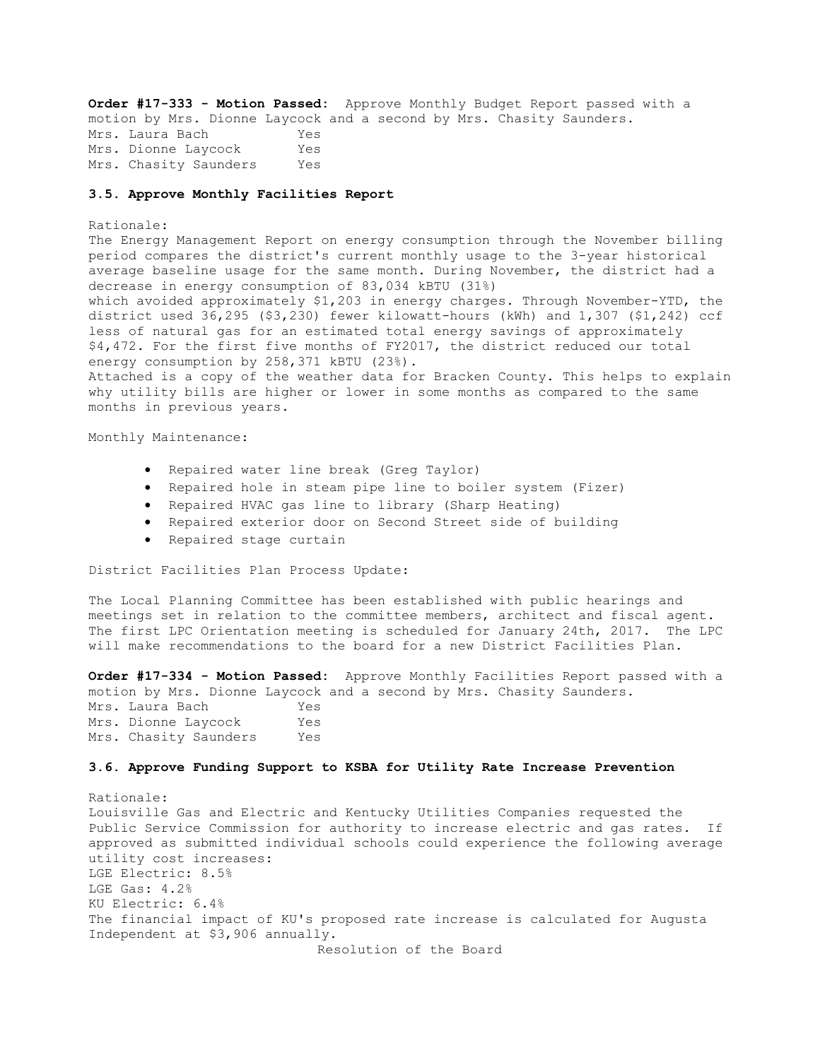**Order #17-333 - Motion Passed:** Approve Monthly Budget Report passed with a motion by Mrs. Dionne Laycock and a second by Mrs. Chasity Saunders. Mrs. Laura Bach Yes Mrs. Dionne Laycock Yes Mrs. Chasity Saunders Yes

## **3.5. Approve Monthly Facilities Report**

#### Rationale:

The Energy Management Report on energy consumption through the November billing period compares the district's current monthly usage to the 3-year historical average baseline usage for the same month. During November, the district had a decrease in energy consumption of 83,034 kBTU (31%) which avoided approximately \$1,203 in energy charges. Through November-YTD, the district used 36,295 (\$3,230) fewer kilowatt-hours (kWh) and 1,307 (\$1,242) ccf less of natural gas for an estimated total energy savings of approximately \$4,472. For the first five months of FY2017, the district reduced our total energy consumption by 258,371 kBTU (23%).

Attached is a copy of the weather data for Bracken County. This helps to explain why utility bills are higher or lower in some months as compared to the same months in previous years.

Monthly Maintenance:

- Repaired water line break (Greg Taylor)
- Repaired hole in steam pipe line to boiler system (Fizer)
- Repaired HVAC gas line to library (Sharp Heating)
- Repaired exterior door on Second Street side of building
- Repaired stage curtain

District Facilities Plan Process Update:

The Local Planning Committee has been established with public hearings and meetings set in relation to the committee members, architect and fiscal agent. The first LPC Orientation meeting is scheduled for January 24th, 2017. The LPC will make recommendations to the board for a new District Facilities Plan.

**Order #17-334 - Motion Passed:** Approve Monthly Facilities Report passed with a motion by Mrs. Dionne Laycock and a second by Mrs. Chasity Saunders. Mrs. Laura Bach Yes Mrs. Dionne Laycock Yes Mrs. Chasity Saunders Yes

## **3.6. Approve Funding Support to KSBA for Utility Rate Increase Prevention**

Rationale: Louisville Gas and Electric and Kentucky Utilities Companies requested the Public Service Commission for authority to increase electric and gas rates. If approved as submitted individual schools could experience the following average utility cost increases: LGE Electric: 8.5% LGE Gas: 4.2% KU Electric: 6.4% The financial impact of KU's proposed rate increase is calculated for Augusta Independent at \$3,906 annually.

Resolution of the Board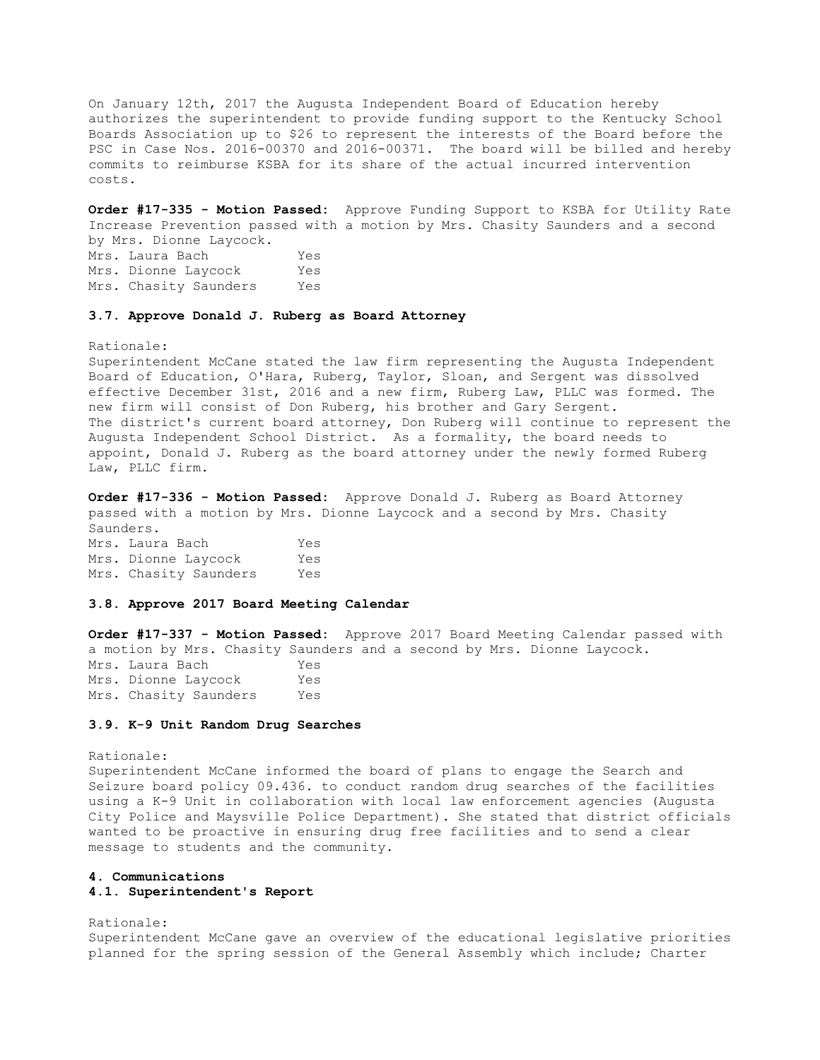On January 12th, 2017 the Augusta Independent Board of Education hereby authorizes the superintendent to provide funding support to the Kentucky School Boards Association up to \$26 to represent the interests of the Board before the PSC in Case Nos. 2016-00370 and 2016-00371. The board will be billed and hereby commits to reimburse KSBA for its share of the actual incurred intervention costs.

**Order #17-335 - Motion Passed:** Approve Funding Support to KSBA for Utility Rate Increase Prevention passed with a motion by Mrs. Chasity Saunders and a second by Mrs. Dionne Laycock. Mrs. Laura Bach Yes Mrs. Dionne Laycock Yes Mrs. Chasity Saunders Yes

#### **3.7. Approve Donald J. Ruberg as Board Attorney**

Rationale:

Superintendent McCane stated the law firm representing the Augusta Independent Board of Education, O'Hara, Ruberg, Taylor, Sloan, and Sergent was dissolved effective December 31st, 2016 and a new firm, Ruberg Law, PLLC was formed. The new firm will consist of Don Ruberg, his brother and Gary Sergent. The district's current board attorney, Don Ruberg will continue to represent the Augusta Independent School District. As a formality, the board needs to appoint, Donald J. Ruberg as the board attorney under the newly formed Ruberg Law, PLLC firm.

**Order #17-336 - Motion Passed:** Approve Donald J. Ruberg as Board Attorney passed with a motion by Mrs. Dionne Laycock and a second by Mrs. Chasity Saunders. Mrs. Laura Bach Yes

Mrs. Dionne Laycock Yes Mrs. Chasity Saunders Yes

# **3.8. Approve 2017 Board Meeting Calendar**

**Order #17-337 - Motion Passed:** Approve 2017 Board Meeting Calendar passed with a motion by Mrs. Chasity Saunders and a second by Mrs. Dionne Laycock. Mrs. Laura Bach Yes Mrs. Dionne Laycock Yes Mrs. Chasity Saunders Yes

## **3.9. K-9 Unit Random Drug Searches**

Rationale: Superintendent McCane informed the board of plans to engage the Search and Seizure board policy 09.436. to conduct random drug searches of the facilities using a K-9 Unit in collaboration with local law enforcement agencies (Augusta City Police and Maysville Police Department). She stated that district officials wanted to be proactive in ensuring drug free facilities and to send a clear message to students and the community.

## **4. Communications**

## **4.1. Superintendent's Report**

Rationale:

Superintendent McCane gave an overview of the educational legislative priorities planned for the spring session of the General Assembly which include; Charter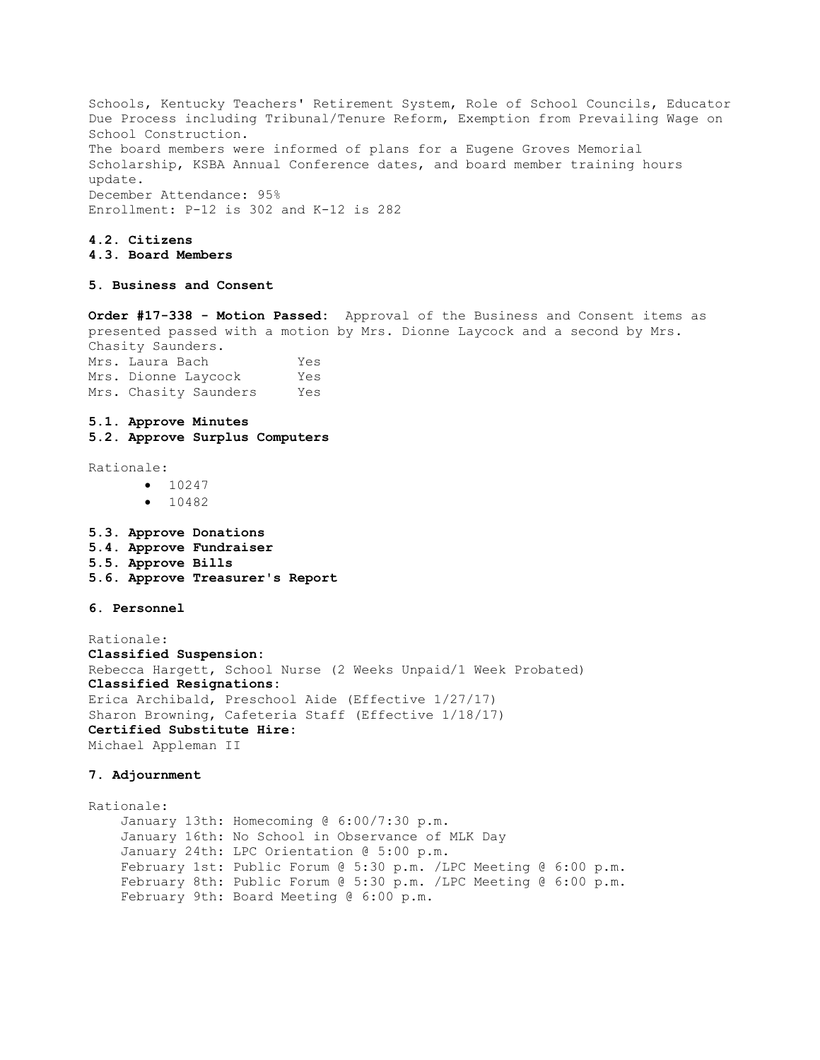Schools, Kentucky Teachers' Retirement System, Role of School Councils, Educator Due Process including Tribunal/Tenure Reform, Exemption from Prevailing Wage on School Construction. The board members were informed of plans for a Eugene Groves Memorial Scholarship, KSBA Annual Conference dates, and board member training hours update. December Attendance: 95% Enrollment: P-12 is 302 and K-12 is 282

# **4.2. Citizens**

# **4.3. Board Members**

# **5. Business and Consent**

**Order #17-338 - Motion Passed:** Approval of the Business and Consent items as presented passed with a motion by Mrs. Dionne Laycock and a second by Mrs. Chasity Saunders. Mrs. Laura Bach Yes<br>Mus. Disama Lauralis X. Mrs. Dionne Latrocak

| MIS. DIONNE LAYCOCK |                       | res |
|---------------------|-----------------------|-----|
|                     | Mrs. Chasity Saunders | Yes |
|                     |                       |     |

# **5.1. Approve Minutes**

**5.2. Approve Surplus Computers** 

Rationale:

- $10247$
- $-10482$
- **5.3. Approve Donations 5.4. Approve Fundraiser 5.5. Approve Bills 5.6. Approve Treasurer's Report**

# **6. Personnel**

Rationale: **Classified Suspension:** Rebecca Hargett, School Nurse (2 Weeks Unpaid/1 Week Probated) **Classified Resignations:**  Erica Archibald, Preschool Aide (Effective 1/27/17) Sharon Browning, Cafeteria Staff (Effective 1/18/17) **Certified Substitute Hire:** Michael Appleman II

## **7. Adjournment**

Rationale: January 13th: Homecoming @ 6:00/7:30 p.m. January 16th: No School in Observance of MLK Day January 24th: LPC Orientation @ 5:00 p.m. February 1st: Public Forum @ 5:30 p.m. /LPC Meeting @ 6:00 p.m. February 8th: Public Forum @ 5:30 p.m. /LPC Meeting @ 6:00 p.m. February 9th: Board Meeting @ 6:00 p.m.